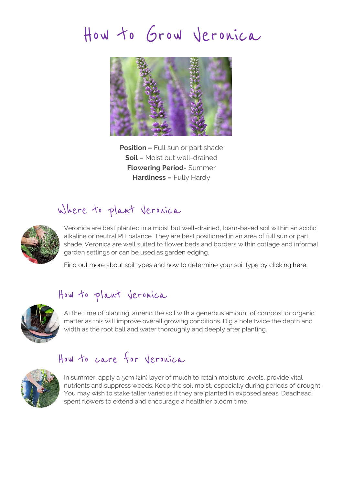# How to Grow Veronica



**Position –** Full sun or part shade **Soil –** Moist but well-drained **Flowering Period-** Summer **Hardiness –** Fully Hardy

## Where to plant Veronica



Veronica are best planted in a moist but well-drained, loam-based soil within an acidic, alkaline or neutral PH balance. They are best positioned in an area of full sun or part shade. Veronica are well suited to flower beds and borders within cottage and informal garden settings or can be used as garden edging.

Find out more about soil types and how to determine your soil type by clicking [here.](http://www.hayloft.co.uk/soil_types)

#### How to plant Veronica



At the time of planting, amend the soil with a generous amount of compost or organic matter as this will improve overall growing conditions. Dig a hole twice the depth and width as the root ball and water thoroughly and deeply after planting.

### How to care for Veronica



In summer, apply a 5cm (2in) layer of mulch to retain moisture levels, provide vital nutrients and suppress weeds. Keep the soil moist, especially during periods of drought. You may wish to stake taller varieties if they are planted in exposed areas. Deadhead spent flowers to extend and encourage a healthier bloom time.